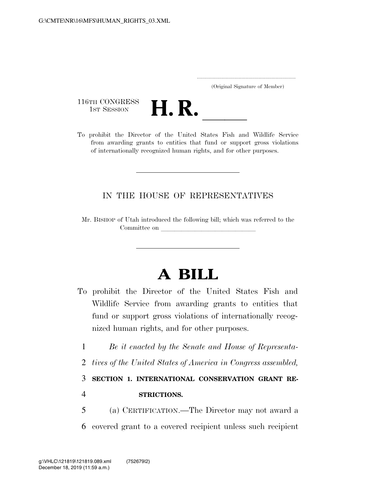..................................................................... (Original Signature of Member)

116TH CONGRESS<br>1st Session



116TH CONGRESS<br>
1st SESSION<br>
To prohibit the Director of the United States Fish and Wildlife Service from awarding grants to entities that fund or support gross violations of internationally recognized human rights, and for other purposes.

## IN THE HOUSE OF REPRESENTATIVES

Mr. BISHOP of Utah introduced the following bill; which was referred to the Committee on

## **A BILL**

- To prohibit the Director of the United States Fish and Wildlife Service from awarding grants to entities that fund or support gross violations of internationally recognized human rights, and for other purposes.
	- 1 *Be it enacted by the Senate and House of Representa-*
	- 2 *tives of the United States of America in Congress assembled,*

3 **SECTION 1. INTERNATIONAL CONSERVATION GRANT RE-**

## 4 **STRICTIONS.**

5 (a) CERTIFICATION.—The Director may not award a 6 covered grant to a covered recipient unless such recipient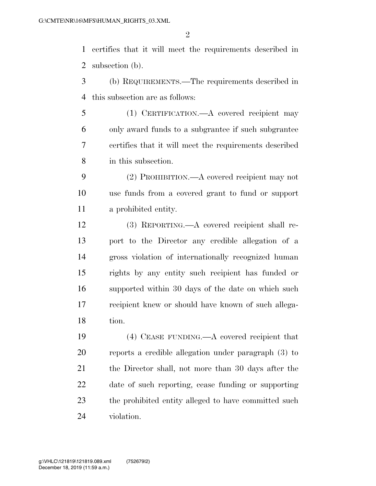certifies that it will meet the requirements described in subsection (b).

- (b) REQUIREMENTS.—The requirements described in this subsection are as follows:
- (1) CERTIFICATION.—A covered recipient may only award funds to a subgrantee if such subgrantee certifies that it will meet the requirements described in this subsection.
- (2) PROHIBITION.—A covered recipient may not use funds from a covered grant to fund or support a prohibited entity.
- (3) REPORTING.—A covered recipient shall re- port to the Director any credible allegation of a gross violation of internationally recognized human rights by any entity such recipient has funded or supported within 30 days of the date on which such recipient knew or should have known of such allega-tion.
- (4) CEASE FUNDING.—A covered recipient that reports a credible allegation under paragraph (3) to 21 the Director shall, not more than 30 days after the date of such reporting, cease funding or supporting 23 the prohibited entity alleged to have committed such violation.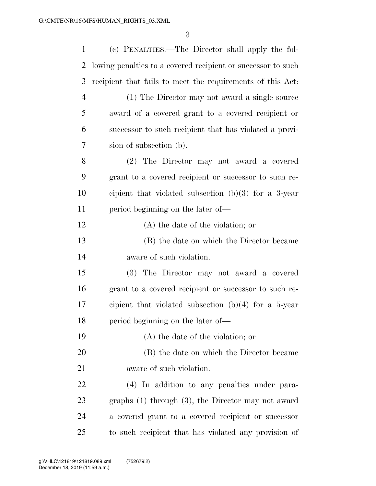| $\mathbf{1}$   | (c) PENALTIES.—The Director shall apply the fol-             |
|----------------|--------------------------------------------------------------|
| 2              | lowing penalties to a covered recipient or successor to such |
| 3              | recipient that fails to meet the requirements of this Act.   |
| $\overline{4}$ | (1) The Director may not award a single source               |
| 5              | award of a covered grant to a covered recipient or           |
| 6              | successor to such recipient that has violated a provi-       |
| 7              | sion of subsection (b).                                      |
| 8              | (2) The Director may not award a covered                     |
| 9              | grant to a covered recipient or successor to such re-        |
| 10             | cipient that violated subsection $(b)(3)$ for a 3-year       |
| 11             | period beginning on the later of—                            |
| 12             | (A) the date of the violation; or                            |
| 13             | (B) the date on which the Director became                    |
| 14             | aware of such violation.                                     |
| 15             | (3) The Director may not award a covered                     |
| 16             | grant to a covered recipient or successor to such re-        |
| 17             | cipient that violated subsection $(b)(4)$ for a 5-year       |
| 18             | period beginning on the later of—                            |
| 19             | (A) the date of the violation; or                            |
| 20             | (B) the date on which the Director became                    |
| 21             | aware of such violation.                                     |
| 22             | (4) In addition to any penalties under para-                 |
| 23             | graphs $(1)$ through $(3)$ , the Director may not award      |
| 24             | a covered grant to a covered recipient or successor          |
| 25             | to such recipient that has violated any provision of         |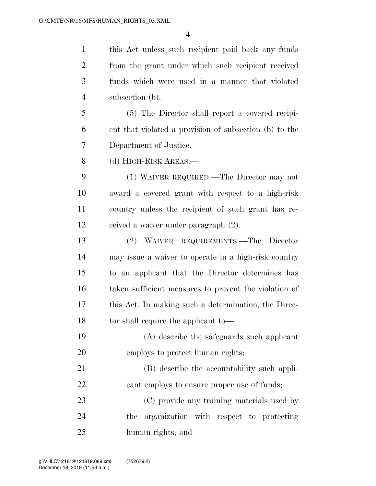this Act unless such recipient paid back any funds from the grant under which such recipient received funds which were used in a manner that violated subsection (b).

 (5) The Director shall report a covered recipi- ent that violated a provision of subsection (b) to the Department of Justice.

(d) HIGH-RISK AREAS.—

 (1) WAIVER REQUIRED.—The Director may not award a covered grant with respect to a high-risk country unless the recipient of such grant has re-ceived a waiver under paragraph (2).

 (2) WAIVER REQUIREMENTS.—The Director may issue a waiver to operate in a high-risk country to an applicant that the Director determines has taken sufficient measures to prevent the violation of this Act. In making such a determination, the Direc-18 to tor shall require the applicant to—

 (A) describe the safeguards such applicant employs to protect human rights;

 (B) describe the accountability such appli-22 cant employs to ensure proper use of funds;

 (C) provide any training materials used by the organization with respect to protecting human rights; and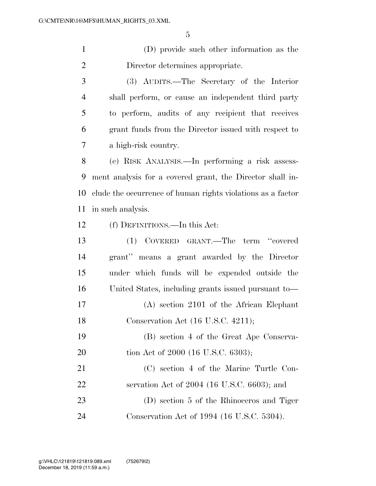(D) provide such other information as the Director determines appropriate.

 (3) AUDITS.—The Secretary of the Interior shall perform, or cause an independent third party to perform, audits of any recipient that receives grant funds from the Director issued with respect to a high-risk country.

 (e) RISK ANALYSIS.—In performing a risk assess- ment analysis for a covered grant, the Director shall in- clude the occurrence of human rights violations as a factor in such analysis.

(f) DEFINITIONS.—In this Act:

| 13 | (1) COVERED GRANT.—The term "covered                |
|----|-----------------------------------------------------|
| 14 | grant" means a grant awarded by the Director        |
| 15 | under which funds will be expended outside the      |
| 16 | United States, including grants issued pursuant to- |
| 17 | $(A)$ section 2101 of the African Elephant          |
| 18 | Conservation Act (16 U.S.C. 4211);                  |
| 19 | (B) section 4 of the Great Ape Conserva-            |
| 20 | tion Act of 2000 (16 U.S.C. 6303);                  |
| 21 | (C) section 4 of the Marine Turtle Con-             |
| 22 | servation Act of $2004$ (16 U.S.C. 6603); and       |
| 23 | (D) section 5 of the Rhinoceros and Tiger           |
| 24 | Conservation Act of 1994 (16 U.S.C. 5304).          |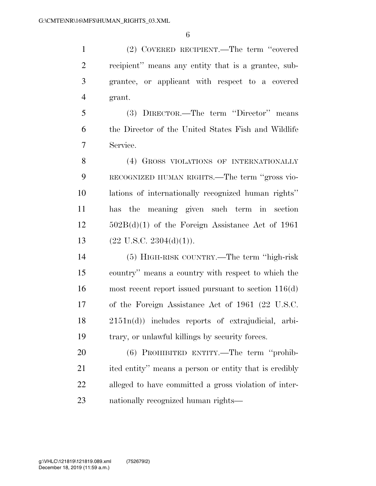(2) COVERED RECIPIENT.—The term ''covered recipient'' means any entity that is a grantee, sub- grantee, or applicant with respect to a covered grant.

 (3) DIRECTOR.—The term ''Director'' means the Director of the United States Fish and Wildlife Service.

8 (4) GROSS VIOLATIONS OF INTERNATIONALLY RECOGNIZED HUMAN RIGHTS.—The term ''gross vio- lations of internationally recognized human rights'' has the meaning given such term in section 502B(d)(1) of the Foreign Assistance Act of 1961  $(22 \text{ U.S.C. } 2304(\text{d})(1)).$ 

 (5) HIGH-RISK COUNTRY.—The term ''high-risk country'' means a country with respect to which the most recent report issued pursuant to section 116(d) of the Foreign Assistance Act of 1961 (22 U.S.C. 2151n(d)) includes reports of extrajudicial, arbi-trary, or unlawful killings by security forces.

 (6) PROHIBITED ENTITY.—The term ''prohib-21 ited entity'' means a person or entity that is credibly alleged to have committed a gross violation of inter-nationally recognized human rights—